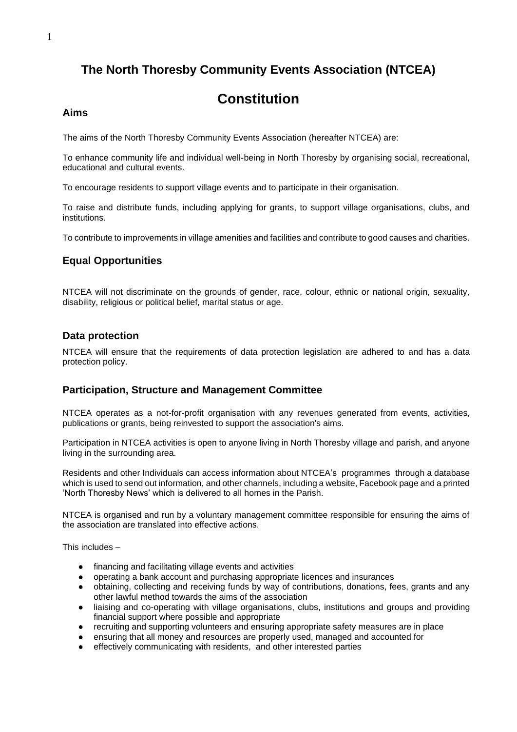# **The North Thoresby Community Events Association (NTCEA)**

# **Constitution**

#### **Aims**

The aims of the North Thoresby Community Events Association (hereafter NTCEA) are:

To enhance community life and individual well-being in North Thoresby by organising social, recreational, educational and cultural events.

To encourage residents to support village events and to participate in their organisation.

To raise and distribute funds, including applying for grants, to support village organisations, clubs, and institutions.

To contribute to improvements in village amenities and facilities and contribute to good causes and charities.

## **Equal Opportunities**

NTCEA will not discriminate on the grounds of gender, race, colour, ethnic or national origin, sexuality, disability, religious or political belief, marital status or age.

## **Data protection**

NTCEA will ensure that the requirements of data protection legislation are adhered to and has a data protection policy.

## **Participation, Structure and Management Committee**

NTCEA operates as a not-for-profit organisation with any revenues generated from events, activities, publications or grants, being reinvested to support the association's aims.

Participation in NTCEA activities is open to anyone living in North Thoresby village and parish, and anyone living in the surrounding area.

Residents and other Individuals can access information about NTCEA's programmes through a database which is used to send out information, and other channels, including a website, Facebook page and a printed 'North Thoresby News' which is delivered to all homes in the Parish.

NTCEA is organised and run by a voluntary management committee responsible for ensuring the aims of the association are translated into effective actions.

This includes –

- financing and facilitating village events and activities
- operating a bank account and purchasing appropriate licences and insurances
- obtaining, collecting and receiving funds by way of contributions, donations, fees, grants and any other lawful method towards the aims of the association
- liaising and co-operating with village organisations, clubs, institutions and groups and providing financial support where possible and appropriate
- recruiting and supporting volunteers and ensuring appropriate safety measures are in place
- ensuring that all money and resources are properly used, managed and accounted for
- effectively communicating with residents, and other interested parties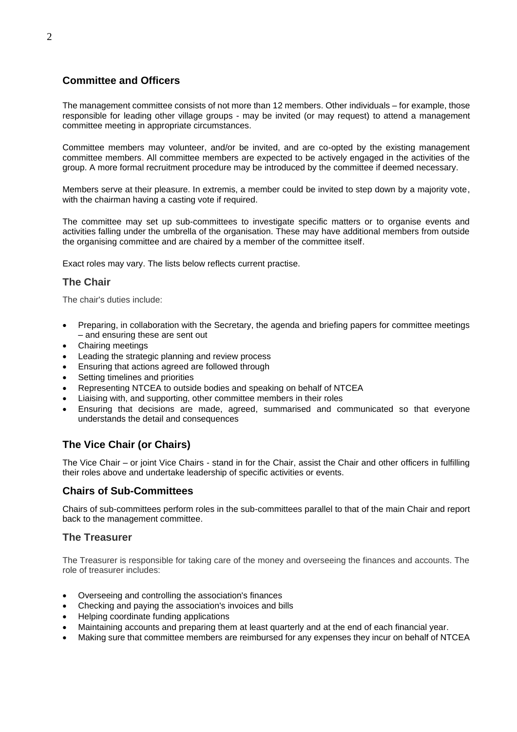## **Committee and Officers**

The management committee consists of not more than 12 members. Other individuals – for example, those responsible for leading other village groups - may be invited (or may request) to attend a management committee meeting in appropriate circumstances.

Committee members may volunteer, and/or be invited, and are co-opted by the existing management committee members. All committee members are expected to be actively engaged in the activities of the group. A more formal recruitment procedure may be introduced by the committee if deemed necessary.

Members serve at their pleasure. In extremis, a member could be invited to step down by a majority vote, with the chairman having a casting vote if required.

The committee may set up sub-committees to investigate specific matters or to organise events and activities falling under the umbrella of the organisation. These may have additional members from outside the organising committee and are chaired by a member of the committee itself.

Exact roles may vary. The lists below reflects current practise.

## **The Chair**

The chair's duties include:

- Preparing, in collaboration with the Secretary, the agenda and briefing papers for committee meetings – and ensuring these are sent out
- Chairing meetings
- Leading the strategic planning and review process
- Ensuring that actions agreed are followed through
- Setting timelines and priorities
- Representing NTCEA to outside bodies and speaking on behalf of NTCEA
- Liaising with, and supporting, other committee members in their roles
- Ensuring that decisions are made, agreed, summarised and communicated so that everyone understands the detail and consequences

## **The Vice Chair (or Chairs)**

The Vice Chair – or joint Vice Chairs - stand in for the Chair, assist the Chair and other officers in fulfilling their roles above and undertake leadership of specific activities or events.

## **Chairs of Sub-Committees**

Chairs of sub-committees perform roles in the sub-committees parallel to that of the main Chair and report back to the management committee.

## **The Treasurer**

The Treasurer is responsible for taking care of the money and overseeing the finances and accounts. The role of treasurer includes:

- Overseeing and controlling the association's finances
- Checking and paying the association's invoices and bills
- Helping coordinate funding applications
- Maintaining accounts and preparing them at least quarterly and at the end of each financial year.
- Making sure that committee members are reimbursed for any expenses they incur on behalf of NTCEA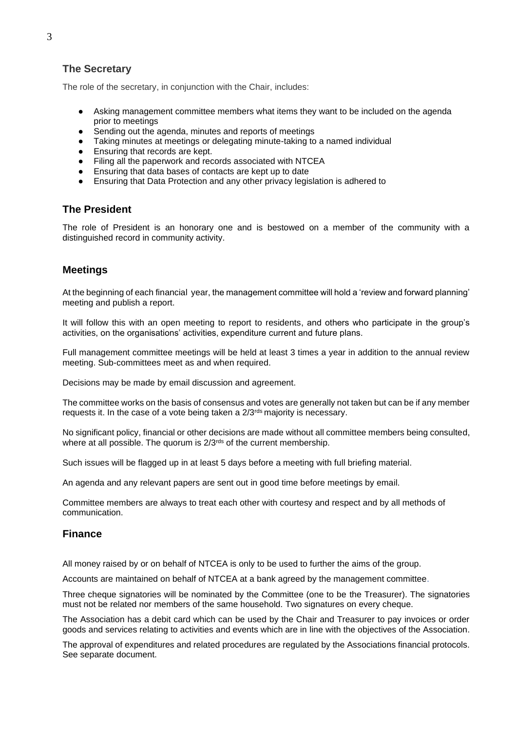## **The Secretary**

The role of the secretary, in conjunction with the Chair, includes:

- Asking management committee members what items they want to be included on the agenda prior to meetings
- Sending out the agenda, minutes and reports of meetings<br>● Taking minutes at meetings or delegating minute-taking to
- Taking minutes at meetings or delegating minute-taking to a named individual
- Ensuring that records are kept.
- Filing all the paperwork and records associated with NTCEA
- Ensuring that data bases of contacts are kept up to date
- Ensuring that Data Protection and any other privacy legislation is adhered to

## **The President**

The role of President is an honorary one and is bestowed on a member of the community with a distinguished record in community activity.

## **Meetings**

At the beginning of each financial year, the management committee will hold a 'review and forward planning' meeting and publish a report.

It will follow this with an open meeting to report to residents, and others who participate in the group's activities, on the organisations' activities, expenditure current and future plans.

Full management committee meetings will be held at least 3 times a year in addition to the annual review meeting. Sub-committees meet as and when required.

Decisions may be made by email discussion and agreement.

The committee works on the basis of consensus and votes are generally not taken but can be if any member requests it. In the case of a vote being taken a 2/3<sup>rds</sup> majority is necessary.

No significant policy, financial or other decisions are made without all committee members being consulted, where at all possible. The quorum is 2/3<sup>rds</sup> of the current membership.

Such issues will be flagged up in at least 5 days before a meeting with full briefing material.

An agenda and any relevant papers are sent out in good time before meetings by email.

Committee members are always to treat each other with courtesy and respect and by all methods of communication.

#### **Finance**

All money raised by or on behalf of NTCEA is only to be used to further the aims of the group.

Accounts are maintained on behalf of NTCEA at a bank agreed by the management committee.

Three cheque signatories will be nominated by the Committee (one to be the Treasurer). The signatories must not be related nor members of the same household. Two signatures on every cheque.

The Association has a debit card which can be used by the Chair and Treasurer to pay invoices or order goods and services relating to activities and events which are in line with the objectives of the Association.

The approval of expenditures and related procedures are regulated by the Associations financial protocols. See separate document.